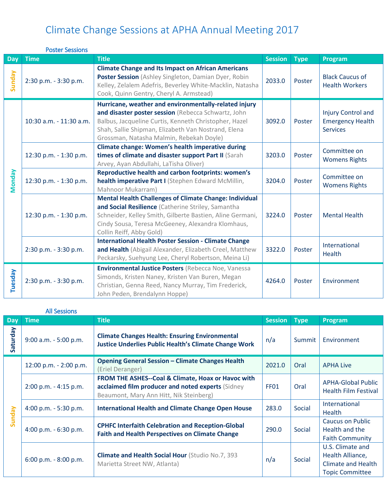|               | <b>Poster Sessions</b>  |                                                                                                                                                                                                                                                                          |                |             |                                                                  |
|---------------|-------------------------|--------------------------------------------------------------------------------------------------------------------------------------------------------------------------------------------------------------------------------------------------------------------------|----------------|-------------|------------------------------------------------------------------|
| <b>Day</b>    | <b>Time</b>             | <b>Title</b>                                                                                                                                                                                                                                                             | <b>Session</b> | <b>Type</b> | Program                                                          |
| Sunday        | 2:30 p.m. - 3:30 p.m.   | <b>Climate Change and Its Impact on African Americans</b><br>Poster Session (Ashley Singleton, Damian Dyer, Robin<br>Kelley, Zelalem Adefris, Beverley White-Macklin, Natasha<br>Cook, Quinn Gentry, Cheryl A. Armstead)                                                 | 2033.0         | Poster      | <b>Black Caucus of</b><br><b>Health Workers</b>                  |
| <b>Monday</b> | 10:30 a.m. - 11:30 a.m. | Hurricane, weather and environmentally-related injury<br>and disaster poster session (Rebecca Schwartz, John<br>Balbus, Jacqueline Curtis, Kenneth Christopher, Hazel<br>Shah, Sallie Shipman, Elizabeth Van Nostrand, Elena<br>Grossman, Natasha Malmin, Rebekah Doyle) | 3092.0         | Poster      | Injury Control and<br><b>Emergency Health</b><br><b>Services</b> |
|               | 12:30 p.m. - 1:30 p.m.  | <b>Climate change: Women's health imperative during</b><br>times of climate and disaster support Part II (Sarah<br>Arvey, Ayan Abdullahi, LaTisha Oliver)                                                                                                                | 3203.0         | Poster      | Committee on<br><b>Womens Rights</b>                             |
|               | 12:30 p.m. - 1:30 p.m.  | <b>Reproductive health and carbon footprints: women's</b><br>health imperative Part I (Stephen Edward McMillin,<br>Mahnoor Mukarram)                                                                                                                                     | 3204.0         | Poster      | Committee on<br><b>Womens Rights</b>                             |
|               | 12:30 p.m. - 1:30 p.m.  | <b>Mental Health Challenges of Climate Change: Individual</b><br>and Social Resilience (Catherine Striley, Samantha<br>Schneider, Kelley Smith, Gilberte Bastien, Aline Germani,<br>Cindy Sousa, Teresa McGeeney, Alexandra Klomhaus,<br>Collin Reiff, Abby Gold)        | 3224.0         | Poster      | <b>Mental Health</b>                                             |
|               | 2:30 p.m. - 3:30 p.m.   | <b>International Health Poster Session - Climate Change</b><br>and Health (Abigail Alexander, Elizabeth Creel, Matthew<br>Peckarsky, Suehyung Lee, Cheryl Robertson, Meina Li)                                                                                           | 3322.0         | Poster      | International<br>Health                                          |
| Tuesday       | 2:30 p.m. - 3:30 p.m.   | Environmental Justice Posters (Rebecca Noe, Vanessa<br>Simonds, Kristen Naney, Kristen Van Buren, Megan<br>Christian, Genna Reed, Nancy Murray, Tim Frederick,<br>John Peden, Brendalynn Hoppe)                                                                          | 4264.0         | Poster      | Environment                                                      |

| Dav            | Time                     | <b>Title</b>                                                                                                          | <b>Session</b> | Type <sup>1</sup> | Program          |
|----------------|--------------------------|-----------------------------------------------------------------------------------------------------------------------|----------------|-------------------|------------------|
| ā<br><u>وج</u> | $9:00$ a.m. $-5:00$ p.m. | <b>Climate Changes Health: Ensuring Environmental</b><br><b>Justice Underlies Public Health's Climate Change Work</b> | n/a            | Summit            | Environm         |
|                | 12:00 p.m. - 2:00 p.m.   | <b>Opening General Session - Climate Changes Health</b><br>(Eriel Deranger)                                           | 2021.0         | Oral              | <b>APHA Live</b> |
|                |                          | $\sim$ $\sim$<br>---                                                                                                  |                |                   |                  |

All Sessions

| Saturday | $9:00$ a.m. $-5:00$ p.m. | <b>Climate Changes Health: Ensuring Environmental</b><br><b>Justice Underlies Public Health's Climate Change Work</b>                              | n/a              | Summit | Environment                                                                                 |
|----------|--------------------------|----------------------------------------------------------------------------------------------------------------------------------------------------|------------------|--------|---------------------------------------------------------------------------------------------|
|          | 12:00 p.m. - 2:00 p.m.   | <b>Opening General Session - Climate Changes Health</b><br>(Eriel Deranger)                                                                        | 2021.0           | Oral   | <b>APHA Live</b>                                                                            |
| Sunday   | 2:00 p.m. - 4:15 p.m.    | FROM THE ASHES--Coal & Climate, Hoax or Havoc with<br>acclaimed film producer and noted experts (Sidney<br>Beaumont, Mary Ann Hitt, Nik Steinberg) | FF <sub>01</sub> | Oral   | <b>APHA-Global Public</b><br><b>Health Film Festival</b>                                    |
|          | 4:00 p.m. $-5:30$ p.m.   | <b>International Health and Climate Change Open House</b>                                                                                          | 283.0            | Social | International<br><b>Health</b>                                                              |
|          | 4:00 p.m. $-6:30$ p.m.   | <b>CPHFC Interfaith Celebration and Reception-Global</b><br><b>Faith and Health Perspectives on Climate Change</b>                                 | 290.0            | Social | <b>Caucus on Public</b><br>Health and the<br><b>Faith Community</b>                         |
|          | $6:00$ p.m. $-8:00$ p.m. | <b>Climate and Health Social Hour (Studio No.7, 393)</b><br>Marietta Street NW, Atlanta)                                                           | n/a              | Social | U.S. Climate and<br>Health Alliance,<br><b>Climate and Health</b><br><b>Topic Committee</b> |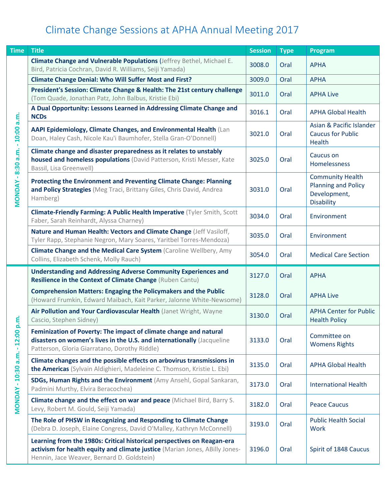| <b>Time</b>                     | <b>Title</b>                                                                                                                                                                                         | <b>Session</b> | <b>Type</b> | Program                                                                                    |
|---------------------------------|------------------------------------------------------------------------------------------------------------------------------------------------------------------------------------------------------|----------------|-------------|--------------------------------------------------------------------------------------------|
|                                 | Climate Change and Vulnerable Populations (Jeffrey Bethel, Michael E.<br>Bird, Patricia Cochran, David R. Williams, Seiji Yamada)                                                                    | 3008.0         | Oral        | <b>APHA</b>                                                                                |
|                                 | <b>Climate Change Denial: Who Will Suffer Most and First?</b>                                                                                                                                        | 3009.0         | Oral        | <b>APHA</b>                                                                                |
|                                 | President's Session: Climate Change & Health: The 21st century challenge<br>(Tom Quade, Jonathan Patz, John Balbus, Kristie Ebi)                                                                     | 3011.0         | Oral        | <b>APHA Live</b>                                                                           |
|                                 | A Dual Opportunity: Lessons Learned in Addressing Climate Change and<br><b>NCDs</b>                                                                                                                  | 3016.1         | Oral        | <b>APHA Global Health</b>                                                                  |
| 10:00 a.m.<br>$\mathbf{L}$      | AAPI Epidemiology, Climate Changes, and Environmental Health (Lan<br>Doan, Haley Cash, Nicole Kau'i Baumhofer, Stella Gran-O'Donnell)                                                                | 3021.0         | Oral        | Asian & Pacific Islander<br><b>Caucus for Public</b><br>Health                             |
| 8:30 a.m.                       | Climate change and disaster preparedness as it relates to unstably<br>housed and homeless populations (David Patterson, Kristi Messer, Kate<br>Bassil, Lisa Greenwell)                               | 3025.0         | Oral        | Caucus on<br>Homelessness                                                                  |
| $\blacksquare$<br><b>MONDAY</b> | Protecting the Environment and Preventing Climate Change: Planning<br>and Policy Strategies (Meg Traci, Brittany Giles, Chris David, Andrea<br>Hamberg)                                              | 3031.0         | Oral        | <b>Community Health</b><br><b>Planning and Policy</b><br>Development,<br><b>Disability</b> |
|                                 | <b>Climate-Friendly Farming: A Public Health Imperative (Tyler Smith, Scott</b><br>Faber, Sarah Reinhardt, Alyssa Charney)                                                                           | 3034.0         | Oral        | Environment                                                                                |
|                                 | Nature and Human Health: Vectors and Climate Change (Jeff Vasiloff,<br>Tyler Rapp, Stephanie Negron, Mary Soares, Yaritbel Torres-Mendoza)                                                           | 3035.0         | Oral        | Environment                                                                                |
|                                 | <b>Climate Change and the Medical Care System (Caroline Wellbery, Amy</b><br>Collins, Elizabeth Schenk, Molly Rauch)                                                                                 | 3054.0         | Oral        | <b>Medical Care Section</b>                                                                |
|                                 | <b>Understanding and Addressing Adverse Community Experiences and</b><br>Resilience in the Context of Climate Change (Ruben Cantu)                                                                   | 3127.0         | Oral        | <b>APHA</b>                                                                                |
|                                 | <b>Comprehension Matters: Engaging the Policymakers and the Public</b><br>(Howard Frumkin, Edward Maibach, Kait Parker, Jalonne White-Newsome)                                                       | 3128.0         | Oral        | <b>APHA Live</b>                                                                           |
| .m.                             | Air Pollution and Your Cardiovascular Health (Janet Wright, Wayne<br>Cascio, Stephen Sidney)                                                                                                         | 3130.0         | Oral        | <b>APHA Center for Public</b><br><b>Health Policy</b>                                      |
| 12:00<br>$\mathbf{r}$           | Feminization of Poverty: The impact of climate change and natural<br>disasters on women's lives in the U.S. and internationally (Jacqueline<br>Patterson, Gloria Giarratano, Dorothy Riddle)         | 3133.0         | Oral        | Committee on<br><b>Womens Rights</b>                                                       |
| a.m.<br>10:30                   | Climate changes and the possible effects on arbovirus transmissions in<br>the Americas (Sylvain Aldighieri, Madeleine C. Thomson, Kristie L. Ebi)                                                    | 3135.0         | Oral        | <b>APHA Global Health</b>                                                                  |
|                                 | SDGs, Human Rights and the Environment (Amy Ansehl, Gopal Sankaran,<br>Padmini Murthy, Elvira Beracochea)                                                                                            | 3173.0         | Oral        | <b>International Health</b>                                                                |
| MONDAY-                         | <b>Climate change and the effect on war and peace (Michael Bird, Barry S.</b><br>Levy, Robert M. Gould, Seiji Yamada)                                                                                | 3182.0         | Oral        | <b>Peace Caucus</b>                                                                        |
|                                 | The Role of PHSW in Recognizing and Responding to Climate Change<br>(Debra D. Joseph, Elaine Congress, David O'Malley, Kathryn McConnell)                                                            | 3193.0         | Oral        | <b>Public Health Social</b><br>Work                                                        |
|                                 | Learning from the 1980s: Critical historical perspectives on Reagan-era<br>activism for health equity and climate justice (Marian Jones, ABilly Jones-<br>Hennin, Jace Weaver, Bernard D. Goldstein) | 3196.0         | Oral        | Spirit of 1848 Caucus                                                                      |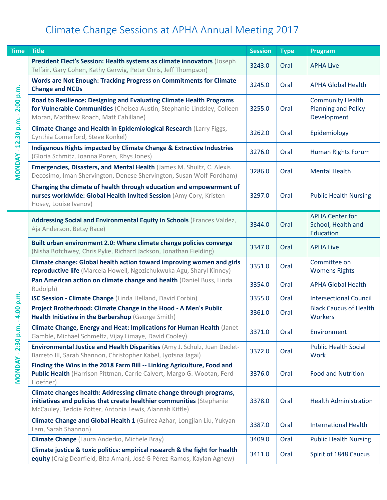| <b>Time</b>    | <b>Title</b>                                                                                                                                                                                            | <b>Session</b> | <b>Type</b> | <b>Program</b>                                                       |
|----------------|---------------------------------------------------------------------------------------------------------------------------------------------------------------------------------------------------------|----------------|-------------|----------------------------------------------------------------------|
|                | President Elect's Session: Health systems as climate innovators (Joseph<br>Telfair, Gary Cohen, Kathy Gerwig, Peter Orris, Jeff Thompson)                                                               | 3243.0         | Oral        | <b>APHA Live</b>                                                     |
|                | <b>Words are Not Enough: Tracking Progress on Commitments for Climate</b><br><b>Change and NCDs</b>                                                                                                     | 3245.0         | Oral        | <b>APHA Global Health</b>                                            |
| 2:00 p.m.      | Road to Resilience: Designing and Evaluating Climate Health Programs<br>for Vulnerable Communities (Chelsea Austin, Stephanie Lindsley, Colleen<br>Moran, Matthew Roach, Matt Cahillane)                | 3255.0         | Oral        | <b>Community Health</b><br><b>Planning and Policy</b><br>Development |
| $-12:30 p.m.$  | Climate Change and Health in Epidemiological Research (Larry Figgs,<br>Cynthia Comerford, Steve Konkel)                                                                                                 | 3262.0         | Oral        | Epidemiology                                                         |
|                | <b>Indigenous Rights impacted by Climate Change &amp; Extractive Industries</b><br>(Gloria Schmitz, Joanna Pozen, Rhys Jones)                                                                           | 3276.0         | Oral        | <b>Human Rights Forum</b>                                            |
| <b>MONDAY</b>  | Emergencies, Disasters, and Mental Health (James M. Shultz, C. Alexis<br>Decosimo, Iman Shervington, Denese Shervington, Susan Wolf-Fordham)                                                            | 3286.0         | Oral        | <b>Mental Health</b>                                                 |
|                | Changing the climate of health through education and empowerment of<br>nurses worldwide: Global Health Invited Session (Amy Cory, Kristen<br>Hosey, Louise Ivanov)                                      | 3297.0         | Oral        | <b>Public Health Nursing</b>                                         |
|                | Addressing Social and Environmental Equity in Schools (Frances Valdez,<br>Aja Anderson, Betsy Race)                                                                                                     | 3344.0         | Oral        | <b>APHA Center for</b><br>School, Health and<br>Education            |
|                | Built urban environment 2.0: Where climate change policies converge<br>(Nisha Botchwey, Chris Pyke, Richard Jackson, Jonathan Fielding)                                                                 | 3347.0         | Oral        | <b>APHA Live</b>                                                     |
|                | Climate change: Global health action toward improving women and girls<br>reproductive life (Marcela Howell, Ngozichukwuka Agu, Sharyl Kinney)                                                           | 3351.0         | Oral        | Committee on<br><b>Womens Rights</b>                                 |
|                | Pan American action on climate change and health (Daniel Buss, Linda<br>Rudolph)                                                                                                                        | 3354.0         | Oral        | <b>APHA Global Health</b>                                            |
|                | ISC Session - Climate Change (Linda Helland, David Corbin)                                                                                                                                              | 3355.0         | Oral        | <b>Intersectional Council</b>                                        |
| 4:00 p.m.      | Project Brotherhood: Climate Change in the Hood - A Men's Public<br>Health Initiative in the Barbershop (George Smith)                                                                                  | 3361.0         | Oral        | <b>Black Caucus of Health</b><br><b>Workers</b>                      |
| 2:30 p.m       | Climate Change, Energy and Heat: Implications for Human Health (Janet<br>Gamble, Michael Schmeltz, Vijay Limaye, David Cooley)                                                                          | 3371.0         | Oral        | Environment                                                          |
|                | Environmental Justice and Health Disparities (Amy J. Schulz, Juan Declet-<br>Barreto III, Sarah Shannon, Christopher Kabel, Jyotsna Jagai)                                                              | 3372.0         | Oral        | <b>Public Health Social</b><br><b>Work</b>                           |
| <b>MONDAY-</b> | Finding the Wins in the 2018 Farm Bill -- Linking Agriculture, Food and<br>Public Health (Harrison Pittman, Carrie Calvert, Margo G. Wootan, Ferd<br>Hoefner)                                           | 3376.0         | Oral        | <b>Food and Nutrition</b>                                            |
|                | Climate changes health: Addressing climate change through programs,<br>initiatives and policies that create healthier communities (Stephanie<br>McCauley, Teddie Potter, Antonia Lewis, Alannah Kittle) | 3378.0         | Oral        | <b>Health Administration</b>                                         |
|                | Climate Change and Global Health 1 (Gulrez Azhar, Longjian Liu, Yukyan<br>Lam, Sarah Shannon)                                                                                                           | 3387.0         | Oral        | <b>International Health</b>                                          |
|                | <b>Climate Change</b> (Laura Anderko, Michele Bray)                                                                                                                                                     | 3409.0         | Oral        | <b>Public Health Nursing</b>                                         |
|                | Climate justice & toxic politics: empirical research & the fight for health<br>equity (Craig Dearfield, Bita Amani, José G Pérez-Ramos, Kaylan Agnew)                                                   | 3411.0         | Oral        | Spirit of 1848 Caucus                                                |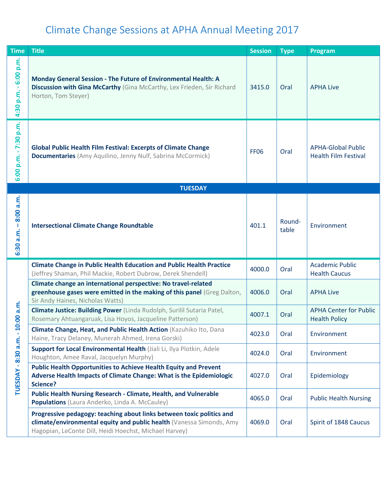| <b>Time</b>                  | <b>Title</b>                                                                                                                                                                                            | <b>Session</b> | <b>Type</b>     | Program                                                  |
|------------------------------|---------------------------------------------------------------------------------------------------------------------------------------------------------------------------------------------------------|----------------|-----------------|----------------------------------------------------------|
| $-6:00 p.m.$<br>p.m.<br>4:30 | Monday General Session - The Future of Environmental Health: A<br>Discussion with Gina McCarthy (Gina McCarthy, Lex Frieden, Sir Richard<br>Horton, Tom Steyer)                                         | 3415.0         | Oral            | <b>APHA Live</b>                                         |
| $-7:30 p.m.$<br>6:00 p.m.    | <b>Global Public Health Film Festival: Excerpts of Climate Change</b><br><b>Documentaries</b> (Amy Aquilino, Jenny Nulf, Sabrina McCormick)                                                             | <b>FF06</b>    | Oral            | <b>APHA-Global Public</b><br><b>Health Film Festival</b> |
|                              | <b>TUESDAY</b>                                                                                                                                                                                          |                |                 |                                                          |
| 8:00 a.m.<br>6:30 a.m.       | <b>Intersectional Climate Change Roundtable</b>                                                                                                                                                         | 401.1          | Round-<br>table | Environment                                              |
|                              | <b>Climate Change in Public Health Education and Public Health Practice</b><br>(Jeffrey Shaman, Phil Mackie, Robert Dubrow, Derek Shendell)                                                             | 4000.0         | Oral            | <b>Academic Public</b><br><b>Health Caucus</b>           |
|                              | Climate change an international perspective: No travel-related<br>greenhouse gases were emitted in the making of this panel (Greg Dalton,<br>Sir Andy Haines, Nicholas Watts)                           | 4006.0         | Oral            | <b>APHA Live</b>                                         |
| $0:00$ a.m.                  | Climate Justice: Building Power (Linda Rudolph, Surilil Sutaria Patel,<br>Rosemary Ahtuangaruak, Lisa Hoyos, Jacqueline Patterson)                                                                      | 4007.1         | Oral            | <b>APHA Center for Public</b><br><b>Health Policy</b>    |
| ┯<br>$\mathbf{r}$            | Climate Change, Heat, and Public Health Action (Kazuhiko Ito, Dana<br>Haine, Tracy Delaney, Munerah Ahmed, Irena Gorski)                                                                                | 4023.0         | Oral            | Environment                                              |
|                              | Support for Local Environmental Health (Jiali Li, Ilya Plotkin, Adele<br>Houghton, Amee Raval, Jacquelyn Murphy)                                                                                        | 4024.0         | Oral            | Environment                                              |
| TUESDAY - 8:30 a.m.          | <b>Public Health Opportunities to Achieve Health Equity and Prevent</b><br>Adverse Health Impacts of Climate Change: What is the Epidemiologic<br>Science?                                              | 4027.0         | Oral            | Epidemiology                                             |
|                              | <b>Public Health Nursing Research - Climate, Health, and Vulnerable</b><br>Populations (Laura Anderko, Linda A. McCauley)                                                                               | 4065.0         | Oral            | <b>Public Health Nursing</b>                             |
|                              | Progressive pedagogy: teaching about links between toxic politics and<br>climate/environmental equity and public health (Vanessa Simonds, Amy<br>Hagopian, LeConte Dill, Heidi Hoechst, Michael Harvey) | 4069.0         | Oral            | Spirit of 1848 Caucus                                    |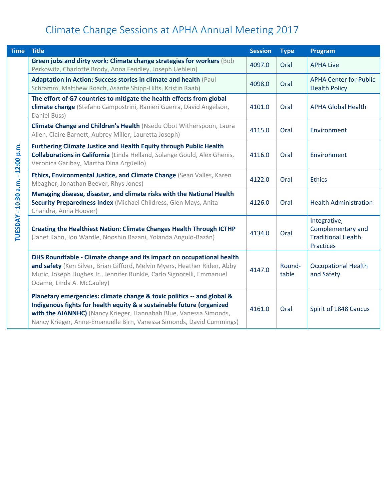| <b>Time</b>                       | <b>Title</b>                                                                                                                                                                                                                                                                                 | <b>Session</b> | <b>Type</b>     | Program                                                                            |
|-----------------------------------|----------------------------------------------------------------------------------------------------------------------------------------------------------------------------------------------------------------------------------------------------------------------------------------------|----------------|-----------------|------------------------------------------------------------------------------------|
|                                   | Green jobs and dirty work: Climate change strategies for workers (Bob<br>Perkowitz, Charlotte Brody, Anna Fendley, Joseph Uehlein)                                                                                                                                                           | 4097.0         | Oral            | <b>APHA Live</b>                                                                   |
|                                   | Adaptation in Action: Success stories in climate and health (Paul<br>Schramm, Matthew Roach, Asante Shipp-Hilts, Kristin Raab)                                                                                                                                                               | 4098.0         | Oral            | <b>APHA Center for Public</b><br><b>Health Policy</b>                              |
|                                   | The effort of G7 countries to mitigate the health effects from global<br>climate change (Stefano Campostrini, Ranieri Guerra, David Angelson,<br>Daniel Buss)                                                                                                                                | 4101.0         | Oral            | <b>APHA Global Health</b>                                                          |
|                                   | Climate Change and Children's Health (Nsedu Obot Witherspoon, Laura<br>Allen, Claire Barnett, Aubrey Miller, Lauretta Joseph)                                                                                                                                                                | 4115.0         | Oral            | Environment                                                                        |
| TUESDAY - 10:30 a.m. - 12:00 p.m. | <b>Furthering Climate Justice and Health Equity through Public Health</b><br><b>Collaborations in California</b> (Linda Helland, Solange Gould, Alex Ghenis,<br>Veronica Garibay, Martha Dina Argüello)                                                                                      | 4116.0         | Oral            | Environment                                                                        |
|                                   | Ethics, Environmental Justice, and Climate Change (Sean Valles, Karen<br>Meagher, Jonathan Beever, Rhys Jones)                                                                                                                                                                               | 4122.0         | Oral            | <b>Ethics</b>                                                                      |
|                                   | Managing disease, disaster, and climate risks with the National Health<br>Security Preparedness Index (Michael Childress, Glen Mays, Anita<br>Chandra, Anna Hoover)                                                                                                                          | 4126.0         | Oral            | <b>Health Administration</b>                                                       |
|                                   | <b>Creating the Healthiest Nation: Climate Changes Health Through ICTHP</b><br>(Janet Kahn, Jon Wardle, Nooshin Razani, Yolanda Angulo-Bazán)                                                                                                                                                | 4134.0         | Oral            | Integrative,<br>Complementary and<br><b>Traditional Health</b><br><b>Practices</b> |
|                                   | OHS Roundtable - Climate change and its impact on occupational health<br>and safety (Ken Silver, Brian Gifford, Melvin Myers, Heather Riden, Abby<br>Mutic, Joseph Hughes Jr., Jennifer Runkle, Carlo Signorelli, Emmanuel<br>Odame, Linda A. McCauley)                                      | 4147.0         | Round-<br>table | <b>Occupational Health</b><br>and Safety                                           |
|                                   | Planetary emergencies: climate change & toxic politics -- and global &<br>Indigenous fights for health equity & a sustainable future (organized<br>with the AIANNHC) (Nancy Krieger, Hannabah Blue, Vanessa Simonds,<br>Nancy Krieger, Anne-Emanuelle Birn, Vanessa Simonds, David Cummings) | 4161.0         | Oral            | Spirit of 1848 Caucus                                                              |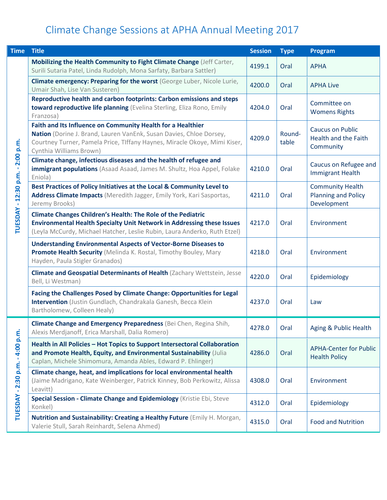| <b>Time</b>                     | <b>Title</b>                                                                                                                                                                                                                               | <b>Session</b> | <b>Type</b>     | Program                                                              |
|---------------------------------|--------------------------------------------------------------------------------------------------------------------------------------------------------------------------------------------------------------------------------------------|----------------|-----------------|----------------------------------------------------------------------|
|                                 | Mobilizing the Health Community to Fight Climate Change (Jeff Carter,<br>Surili Sutaria Patel, Linda Rudolph, Mona Sarfaty, Barbara Sattler)                                                                                               | 4199.1         | Oral            | <b>APHA</b>                                                          |
|                                 | Climate emergency: Preparing for the worst (George Luber, Nicole Lurie,<br>Umair Shah, Lise Van Susteren)                                                                                                                                  | 4200.0         | Oral            | <b>APHA Live</b>                                                     |
|                                 | Reproductive health and carbon footprints: Carbon emissions and steps<br>toward reproductive life planning (Evelina Sterling, Eliza Rono, Emily<br>Franzosa)                                                                               | 4204.0         | Oral            | Committee on<br><b>Womens Rights</b>                                 |
| $-2:00 p.m.$                    | Faith and Its Influence on Community Health for a Healthier<br>Nation (Dorine J. Brand, Lauren VanEnk, Susan Davies, Chloe Dorsey,<br>Courtney Turner, Pamela Price, Tlffany Haynes, Miracle Okoye, Mimi Kiser,<br>Cynthia Williams Brown) | 4209.0         | Round-<br>table | <b>Caucus on Public</b><br>Health and the Faith<br>Community         |
|                                 | Climate change, infectious diseases and the health of refugee and<br>immigrant populations (Asaad Asaad, James M. Shultz, Hoa Appel, Folake<br>Eniola)                                                                                     | 4210.0         | Oral            | Caucus on Refugee and<br><b>Immigrant Health</b>                     |
| TUESDAY - 12:30 p.m.            | Best Practices of Policy Initiatives at the Local & Community Level to<br>Address Climate Impacts (Meredith Jagger, Emily York, Kari Sasportas,<br>Jeremy Brooks)                                                                          | 4211.0         | Oral            | <b>Community Health</b><br><b>Planning and Policy</b><br>Development |
|                                 | <b>Climate Changes Children's Health: The Role of the Pediatric</b><br><b>Environmental Health Specialty Unit Network in Addressing these Issues</b><br>(Leyla McCurdy, Michael Hatcher, Leslie Rubin, Laura Anderko, Ruth Etzel)          | 4217.0         | Oral            | Environment                                                          |
|                                 | <b>Understanding Environmental Aspects of Vector-Borne Diseases to</b><br>Promote Health Security (Melinda K. Rostal, Timothy Bouley, Mary<br>Hayden, Paula Stigler Granados)                                                              | 4218.0         | Oral            | Environment                                                          |
|                                 | <b>Climate and Geospatial Determinants of Health (Zachary Wettstein, Jesse</b><br>Bell, Li Westman)                                                                                                                                        | 4220.0         | Oral            | Epidemiology                                                         |
|                                 | Facing the Challenges Posed by Climate Change: Opportunities for Legal<br>Intervention (Justin Gundlach, Chandrakala Ganesh, Becca Klein<br>Bartholomew, Colleen Healy)                                                                    | 4237.0         | Oral            | Law                                                                  |
|                                 | Climate Change and Emergency Preparedness (Bei Chen, Regina Shih,<br>Alexis Merdjanoff, Erica Marshall, Dalia Romero)                                                                                                                      | 4278.0         | Oral            | Aging & Public Health                                                |
| TUESDAY - 2:30 p.m. - 4:00 p.m. | Health in All Policies - Hot Topics to Support Intersectoral Collaboration<br>and Promote Health, Equity, and Environmental Sustainability (Julia<br>Caplan, Michele Shimomura, Amanda Ables, Edward P. Ehlinger)                          | 4286.0         | Oral            | <b>APHA-Center for Public</b><br><b>Health Policy</b>                |
|                                 | Climate change, heat, and implications for local environmental health<br>(Jaime Madrigano, Kate Weinberger, Patrick Kinney, Bob Perkowitz, Alissa<br>Leavitt)                                                                              | 4308.0         | Oral            | Environment                                                          |
|                                 | Special Session - Climate Change and Epidemiology (Kristie Ebi, Steve<br>Konkel)                                                                                                                                                           | 4312.0         | Oral            | Epidemiology                                                         |
|                                 | Nutrition and Sustainability: Creating a Healthy Future (Emily H. Morgan,<br>Valerie Stull, Sarah Reinhardt, Selena Ahmed)                                                                                                                 | 4315.0         | Oral            | <b>Food and Nutrition</b>                                            |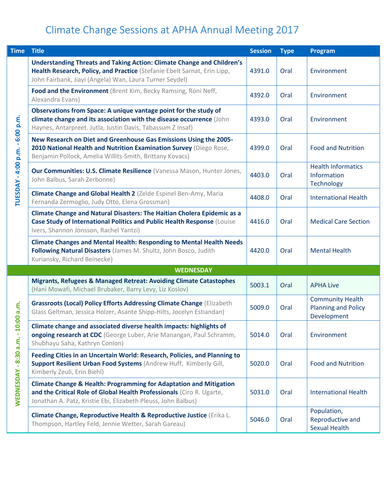| <b>Time</b>         | <b>Title</b>                                                                                                                                                                                                            | <b>Session</b> | <b>Type</b> | Program                                                              |
|---------------------|-------------------------------------------------------------------------------------------------------------------------------------------------------------------------------------------------------------------------|----------------|-------------|----------------------------------------------------------------------|
|                     | <b>Understanding Threats and Taking Action: Climate Change and Children's</b><br>Health Research, Policy, and Practice (Stefanie Ebelt Sarnat, Erin Lipp,<br>John Fairbank, Jiayi (Angela) Wan, Laura Turner Seydel)    | 4391.0         | Oral        | Environment                                                          |
|                     | Food and the Environment (Brent Kim, Becky Ramsing, Roni Neff,<br>Alexandra Evans)                                                                                                                                      | 4392.0         | Oral        | Environment                                                          |
| $-6:00 p.m.$        | Observations from Space: A unique vantage point for the study of<br>climate change and its association with the disease occurrence (John<br>Haynes, Antarpreet. Jutla, Justin Davis, Tabassum Z Insaf)                  | 4393.0         | Oral        | Environment                                                          |
|                     | New Research on Diet and Greenhouse Gas Emissions Using the 2005-<br>2010 National Health and Nutrition Examination Survey (Diego Rose,<br>Benjamin Pollock, Amelia Willits-Smith, Brittany Kovacs)                     | 4399.0         | Oral        | <b>Food and Nutrition</b>                                            |
| TUESDAY - 4:00 p.m. | Our Communities: U.S. Climate Resilience (Vanessa Mason, Hunter Jones,<br>John Balbus, Sarah Zerbonne)                                                                                                                  | 4403.0         | Oral        | <b>Health Informatics</b><br>Information<br>Technology               |
|                     | Climate Change and Global Health 2 (Zelde Espinel Ben-Amy, Maria<br>Fernanda Zermoglio, Judy Otto, Elena Grossman)                                                                                                      | 4408.0         | Oral        | <b>International Health</b>                                          |
|                     | <b>Climate Change and Natural Disasters: The Haitian Cholera Epidemic as a</b><br>Case Study of International Politics and Public Health Response (Louise<br>Ivers, Shannon Jonsson, Rachel Yantzi)                     | 4416.0         | Oral        | <b>Medical Care Section</b>                                          |
|                     | <b>Climate Changes and Mental Health: Responding to Mental Health Needs</b><br>Following Natural Disasters (James M. Shultz, John Bosco, Judith<br>Kuriansky, Richard Beinecke)                                         | 4420.0         | Oral        | <b>Mental Health</b>                                                 |
|                     | <b>WEDNESDAY</b>                                                                                                                                                                                                        |                |             |                                                                      |
|                     | Migrants, Refugees & Managed Retreat: Avoiding Climate Catastophes<br>(Hani Mowafi, Michael Brubaker, Barry Levy, Liz Koslov)                                                                                           | 5003.1         | Oral        | <b>APHA Live</b>                                                     |
| $0:00$ a.m.         | Grassroots (Local) Policy Efforts Addressing Climate Change (Elizabeth<br>Glass Geltman, Jessica Holzer, Asante Shipp-Hilts, Jocelyn Estiandan)                                                                         | 5009.0         | Oral        | <b>Community Health</b><br><b>Planning and Policy</b><br>Development |
| ↤                   | Climate change and associated diverse health impacts: highlights of<br>ongoing research at CDC (George Luber, Arie Manangan, Paul Schramm,<br>Shubhayu Saha, Kathryn Conlon)                                            | 5014.0         | Oral        | Environment                                                          |
| $-8:30$ a.m. $-$    | Feeding Cities in an Uncertain World: Research, Policies, and Planning to<br>Support Resilient Urban Food Systems (Andrew Huff, Kimberly Gill,<br>Kimberly Zeuli, Erin Biehl)                                           | 5020.0         | Oral        | <b>Food and Nutrition</b>                                            |
| WEDNESDAY           | <b>Climate Change &amp; Health: Programming for Adaptation and Mitigation</b><br>and the Critical Role of Global Health Professionals (Ciro R. Ugarte,<br>Jonathan A. Patz, Kristie Ebi, Elizabeth Pleuss, John Balbus) | 5031.0         | Oral        | <b>International Health</b>                                          |
|                     | Climate Change, Reproductive Health & Reproductive Justice (Erika L.<br>Thompson, Hartley Feld, Jennie Wetter, Sarah Gareau)                                                                                            | 5046.0         | Oral        | Population,<br>Reproductive and<br><b>Sexual Health</b>              |